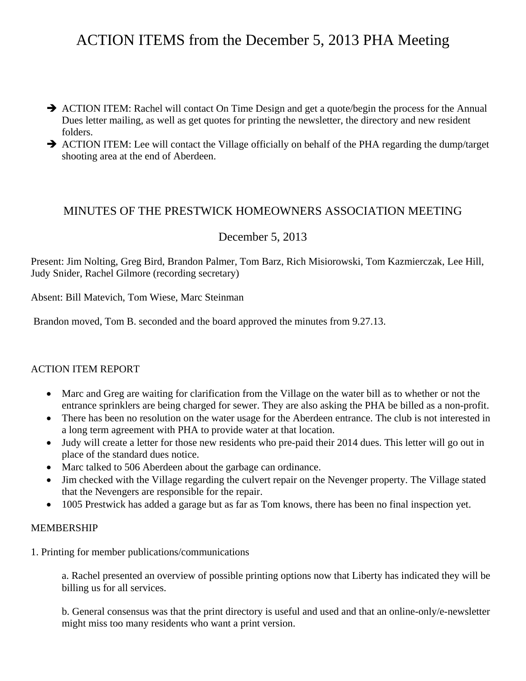# ACTION ITEMS from the December 5, 2013 PHA Meeting

- $\rightarrow$  ACTION ITEM: Rachel will contact On Time Design and get a quote/begin the process for the Annual Dues letter mailing, as well as get quotes for printing the newsletter, the directory and new resident folders.
- $\rightarrow$  ACTION ITEM: Lee will contact the Village officially on behalf of the PHA regarding the dump/target shooting area at the end of Aberdeen.

# MINUTES OF THE PRESTWICK HOMEOWNERS ASSOCIATION MEETING

## December 5, 2013

Present: Jim Nolting, Greg Bird, Brandon Palmer, Tom Barz, Rich Misiorowski, Tom Kazmierczak, Lee Hill, Judy Snider, Rachel Gilmore (recording secretary)

Absent: Bill Matevich, Tom Wiese, Marc Steinman

Brandon moved, Tom B. seconded and the board approved the minutes from 9.27.13.

## ACTION ITEM REPORT

- Marc and Greg are waiting for clarification from the Village on the water bill as to whether or not the entrance sprinklers are being charged for sewer. They are also asking the PHA be billed as a non-profit.
- There has been no resolution on the water usage for the Aberdeen entrance. The club is not interested in a long term agreement with PHA to provide water at that location.
- Judy will create a letter for those new residents who pre-paid their 2014 dues. This letter will go out in place of the standard dues notice.
- Marc talked to 506 Aberdeen about the garbage can ordinance.
- Jim checked with the Village regarding the culvert repair on the Nevenger property. The Village stated that the Nevengers are responsible for the repair.
- 1005 Prestwick has added a garage but as far as Tom knows, there has been no final inspection yet.

#### MEMBERSHIP

1. Printing for member publications/communications

 a. Rachel presented an overview of possible printing options now that Liberty has indicated they will be billing us for all services.

 b. General consensus was that the print directory is useful and used and that an online-only/e-newsletter might miss too many residents who want a print version.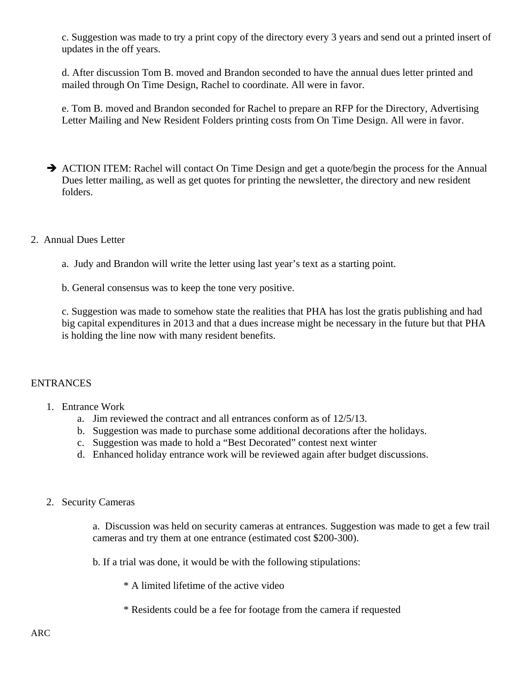c. Suggestion was made to try a print copy of the directory every 3 years and send out a printed insert of updates in the off years.

 d. After discussion Tom B. moved and Brandon seconded to have the annual dues letter printed and mailed through On Time Design, Rachel to coordinate. All were in favor.

 e. Tom B. moved and Brandon seconded for Rachel to prepare an RFP for the Directory, Advertising Letter Mailing and New Resident Folders printing costs from On Time Design. All were in favor.

- $\rightarrow$  ACTION ITEM: Rachel will contact On Time Design and get a quote/begin the process for the Annual Dues letter mailing, as well as get quotes for printing the newsletter, the directory and new resident folders.
- 2. Annual Dues Letter
	- a. Judy and Brandon will write the letter using last year's text as a starting point.
	- b. General consensus was to keep the tone very positive.

 c. Suggestion was made to somehow state the realities that PHA has lost the gratis publishing and had big capital expenditures in 2013 and that a dues increase might be necessary in the future but that PHA is holding the line now with many resident benefits.

## ENTRANCES

- 1. Entrance Work
	- a. Jim reviewed the contract and all entrances conform as of 12/5/13.
	- b. Suggestion was made to purchase some additional decorations after the holidays.
	- c. Suggestion was made to hold a "Best Decorated" contest next winter
	- d. Enhanced holiday entrance work will be reviewed again after budget discussions.
- 2. Security Cameras

 a. Discussion was held on security cameras at entrances. Suggestion was made to get a few trail cameras and try them at one entrance (estimated cost \$200-300).

b. If a trial was done, it would be with the following stipulations:

\* A limited lifetime of the active video

\* Residents could be a fee for footage from the camera if requested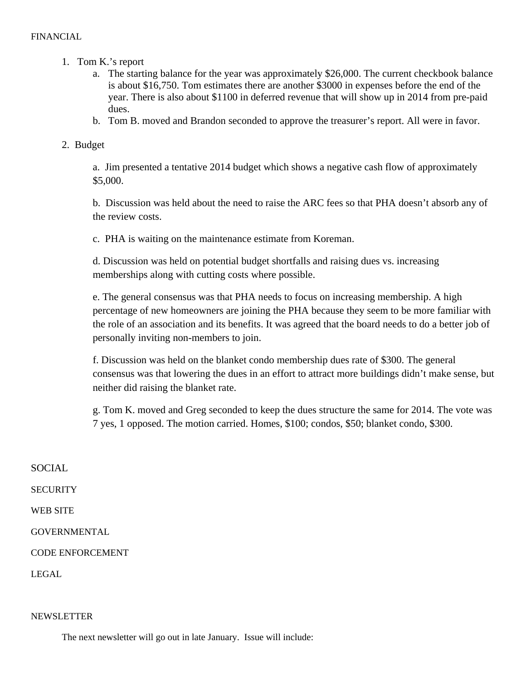- 1. Tom K.'s report
	- a. The starting balance for the year was approximately \$26,000. The current checkbook balance is about \$16,750. Tom estimates there are another \$3000 in expenses before the end of the year. There is also about \$1100 in deferred revenue that will show up in 2014 from pre-paid dues.
	- b. Tom B. moved and Brandon seconded to approve the treasurer's report. All were in favor.

## 2. Budget

a. Jim presented a tentative 2014 budget which shows a negative cash flow of approximately \$5,000.

b. Discussion was held about the need to raise the ARC fees so that PHA doesn't absorb any of the review costs.

c. PHA is waiting on the maintenance estimate from Koreman.

d. Discussion was held on potential budget shortfalls and raising dues vs. increasing memberships along with cutting costs where possible.

e. The general consensus was that PHA needs to focus on increasing membership. A high percentage of new homeowners are joining the PHA because they seem to be more familiar with the role of an association and its benefits. It was agreed that the board needs to do a better job of personally inviting non-members to join.

f. Discussion was held on the blanket condo membership dues rate of \$300. The general consensus was that lowering the dues in an effort to attract more buildings didn't make sense, but neither did raising the blanket rate.

g. Tom K. moved and Greg seconded to keep the dues structure the same for 2014. The vote was 7 yes, 1 opposed. The motion carried. Homes, \$100; condos, \$50; blanket condo, \$300.

SOCIAL **SECURITY** WEB SITE GOVERNMENTAL CODE ENFORCEMENT LEGAL

#### **NEWSLETTER**

The next newsletter will go out in late January. Issue will include: